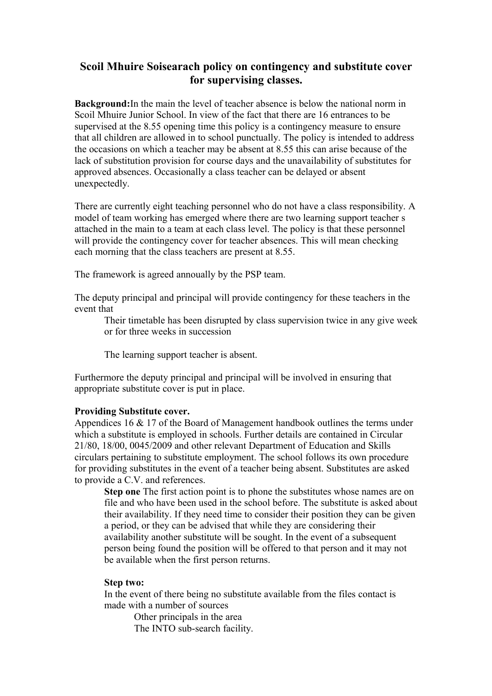# **Scoil Mhuire Soisearach policy on contingency and substitute cover for supervising classes.**

**Background:**In the main the level of teacher absence is below the national norm in Scoil Mhuire Junior School. In view of the fact that there are 16 entrances to be supervised at the 8.55 opening time this policy is a contingency measure to ensure that all children are allowed in to school punctually. The policy is intended to address the occasions on which a teacher may be absent at 8.55 this can arise because of the lack of substitution provision for course days and the unavailability of substitutes for approved absences. Occasionally a class teacher can be delayed or absent unexpectedly.

There are currently eight teaching personnel who do not have a class responsibility. A model of team working has emerged where there are two learning support teacher s attached in the main to a team at each class level. The policy is that these personnel will provide the contingency cover for teacher absences. This will mean checking each morning that the class teachers are present at 8.55.

The framework is agreed annoually by the PSP team.

The deputy principal and principal will provide contingency for these teachers in the event that

Their timetable has been disrupted by class supervision twice in any give week or for three weeks in succession

The learning support teacher is absent.

Furthermore the deputy principal and principal will be involved in ensuring that appropriate substitute cover is put in place.

### **Providing Substitute cover.**

Appendices 16 & 17 of the Board of Management handbook outlines the terms under which a substitute is employed in schools. Further details are contained in Circular 21/80, 18/00, 0045/2009 and other relevant Department of Education and Skills circulars pertaining to substitute employment. The school follows its own procedure for providing substitutes in the event of a teacher being absent. Substitutes are asked to provide a C.V. and references.

**Step one** The first action point is to phone the substitutes whose names are on file and who have been used in the school before. The substitute is asked about their availability. If they need time to consider their position they can be given a period, or they can be advised that while they are considering their availability another substitute will be sought. In the event of a subsequent person being found the position will be offered to that person and it may not be available when the first person returns.

#### **Step two:**

In the event of there being no substitute available from the files contact is made with a number of sources

Other principals in the area The INTO sub-search facility.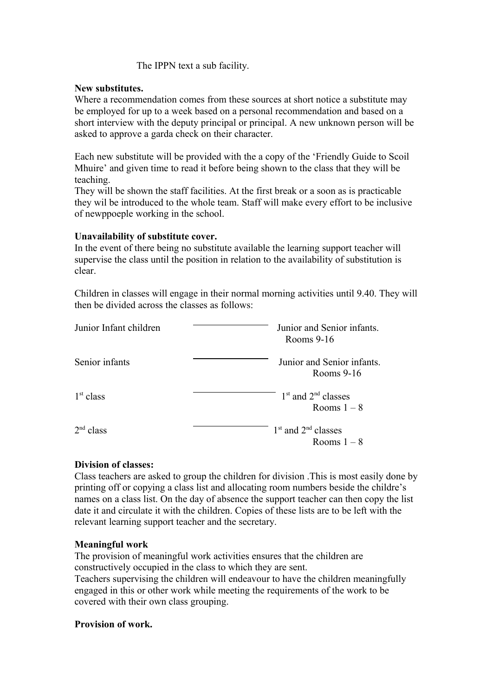## The IPPN text a sub facility.

### **New substitutes.**

Where a recommendation comes from these sources at short notice a substitute may be employed for up to a week based on a personal recommendation and based on a short interview with the deputy principal or principal. A new unknown person will be asked to approve a garda check on their character.

Each new substitute will be provided with the a copy of the 'Friendly Guide to Scoil Mhuire' and given time to read it before being shown to the class that they will be teaching.

They will be shown the staff facilities. At the first break or a soon as is practicable they wil be introduced to the whole team. Staff will make every effort to be inclusive of newppoeple working in the school.

### **Unavailability of substitute cover.**

In the event of there being no substitute available the learning support teacher will supervise the class until the position in relation to the availability of substitution is clear.

Children in classes will engage in their normal morning activities until 9.40. They will then be divided across the classes as follows:

| Junior Infant children | Junior and Senior infants.<br>Rooms $9-16$ |  |
|------------------------|--------------------------------------------|--|
| Senior infants         | Junior and Senior infants.<br>Rooms $9-16$ |  |
| 1 <sup>st</sup> class  | $1st$ and $2nd$ classes<br>Rooms $1-8$     |  |
| 2 <sup>nd</sup> class  | $1st$ and $2nd$ classes<br>Rooms $1-8$     |  |

### **Division of classes:**

Class teachers are asked to group the children for division .This is most easily done by printing off or copying a class list and allocating room numbers beside the childre's names on a class list. On the day of absence the support teacher can then copy the list date it and circulate it with the children. Copies of these lists are to be left with the relevant learning support teacher and the secretary.

### **Meaningful work**

The provision of meaningful work activities ensures that the children are constructively occupied in the class to which they are sent. Teachers supervising the children will endeavour to have the children meaningfully engaged in this or other work while meeting the requirements of the work to be covered with their own class grouping.

### **Provision of work.**